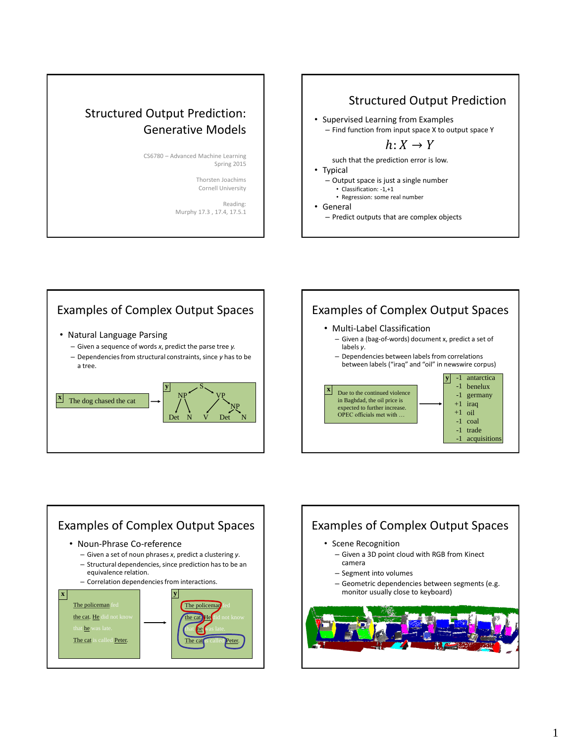# Structured Output Prediction: Generative Models

CS6780 – Advanced Machine Learning Spring 2015

> Thorsten Joachims Cornell University

Reading: Murphy 17.3 , 17.4, 17.5.1

## Structured Output Prediction

- Supervised Learning from Examples
- Find function from input space X to output space Y

 $h: X \rightarrow Y$ 

such that the prediction error is low.

- Typical
	- Output space is just a single number
		- Classification: -1,+1
		- Regression: some real number
- General
	- Predict outputs that are complex objects



# Examples of Complex Output Spaces

- Multi-Label Classification
	- Given a (bag-of-words) document x, predict a set of labels *y*.
	- Dependencies between labels from correlations between labels ("iraq" and "oil" in newswire corpus)







#### 1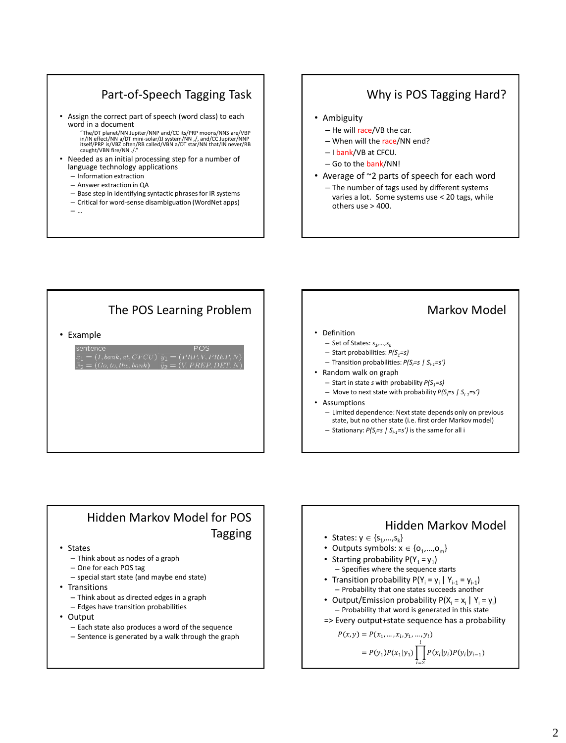## Part-of-Speech Tagging Task

- Assign the correct part of speech (word class) to each word in a document
	- "The/DT planet/NN Jupiter/NNP and/CC its/PRP moons/NNS are/VBP<br>in/IN effect/NN a/DT mini-solar/JJ system/NN ,/, and/CC Jupiter/NNP<br>itself/PRP is/VBZ often/RB called/VBN a/DT star/NN that/IN never/RB<br>caught/VBN fire/NN ./."
- Needed as an initial processing step for a number of language technology applications
	- Information extraction
	- Answer extraction in QA
	- Base step in identifying syntactic phrases for IR systems
	- Critical for word-sense disambiguation (WordNet apps)
	- …

## Why is POS Tagging Hard?

- Ambiguity
	- He will race/VB the car.
	- When will the race/NN end?
	- I bank/VB at CFCU.
	- Go to the bank/NN!
- Average of ~2 parts of speech for each word
	- The number of tags used by different systems varies a lot. Some systems use < 20 tags, while others use > 400.



# Markov Model

- Definition
	- Set of States: *s<sup>1</sup> ,…,s<sup>k</sup>*
	- Start probabilities: *P(S1=s)*
	- Transition probabilities: *P(Si=s | Si-1=s')*
- Random walk on graph
	- Start in state *s* with probability *P(S1=s)*
	- Move to next state with probability *P(Si=s | Si-1=s')*
- Assumptions
	- Limited dependence: Next state depends only on previous state, but no other state (i.e. first order Markov model)
	- Stationary: *P(Si=s | Si-1=s')* is the same for all i

### Hidden Markov Model for POS Tagging

- States
	- Think about as nodes of a graph
	- One for each POS tag
	- special start state (and maybe end state)
- Transitions
	- Think about as directed edges in a graph
	- Edges have transition probabilities
- Output
	- Each state also produces a word of the sequence
	- Sentence is generated by a walk through the graph

#### Hidden Markov Model • States:  $y \in \{s_1, ..., s_k\}$ • Outputs symbols:  $x \in \{o_1, ..., o_m\}$ • Starting probability  $P(Y_1 = y_1)$ – Specifies where the sequence starts • Transition probability  $P(Y_i = y_i | Y_{i-1} = y_{i-1})$ – Probability that one states succeeds another • Output/Emission probability  $P(X_i = x_i | Y_i = y_i)$ – Probability that word is generated in this state => Every output+state sequence has a probability  $P(x, y) = P(x_1, ..., x_l, y_1, ..., y_l)$ l

 $= P(y_1) P(x_1|y_1)$   $\left| P(x_i|y_i) P(y_i|y_{i-1}) \right|$ 

 $i=2$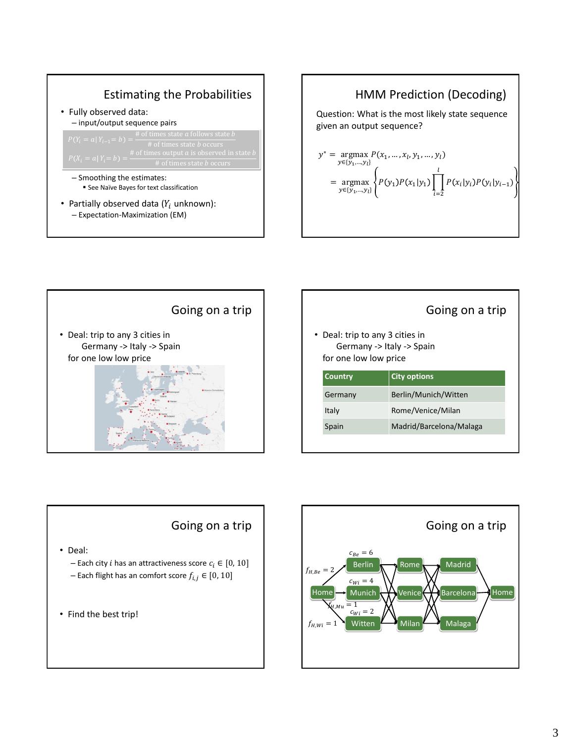





#### Going on a trip

• Deal: trip to any 3 cities in Germany -> Italy -> Spain for one low low price

| Country | <b>City options</b>     |
|---------|-------------------------|
| Germany | Berlin/Munich/Witten    |
| Italy   | Rome/Venice/Milan       |
| Spain   | Madrid/Barcelona/Malaga |